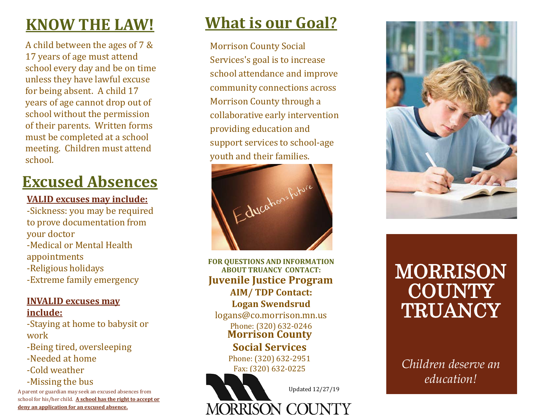## **KNOW THE LAW!**

A child between the ages of 7 & 17 years of age must attend school every day and be on time unless they have lawful excuse for being absent. A child 17 years of age cannot drop out of school without the permission of their parents. Written forms must be completed at a school meeting. Children must attend school.

# **Excused Absences**

#### **VALID excuses may include:**

-Sickness: you may be required to prove documentation from your doctor -Medical or Mental Health appointments -Religious holidays -Extreme family emergency

#### **INVALID excuses may include:**

-Staying at home to babysit or work

-Being tired, oversleeping

-Needed at home

-Cold weather

-Missing the bus

A parent or guardian may seek an excused absences from school for his/her child. **A school has the right to accept or deny an application for an excused absence.**

## **What is our Goal?**

Morrison County Social Services's goal is to increase school attendance and improve community connections across Morrison County through a collaborative early intervention providing education and support services to school -age youth and their families.



**FOR QUESTIONS AND INFORMATION ABOUT TRUANCY CONTACT: Juvenile Justice Program AIM/ TD P Contact: Logan Swendsrud** logans@co.morrison.mn.us

## **Morrison County**  Phone: (320) 632-0246

**Social Services**

Phone: (320) 632 -2951 Fax: (320) 632 -0225



# MORRISON **COUNTY TRUANCY**

*Children deserve an education!*